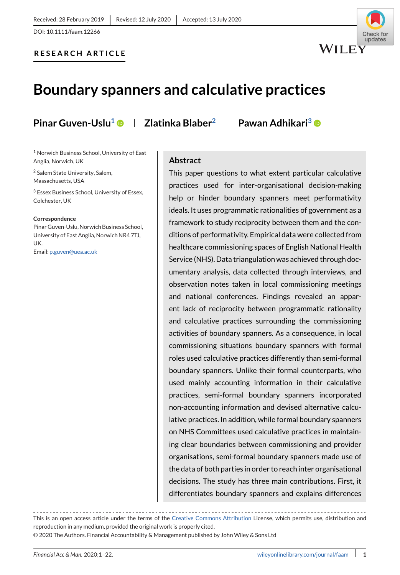# **RESEARCH ARTICLE**

# **Boundary spanners and calculative practices**

**Pinar Guven-Uslu1 Zlatinka Blaber2 Pawan Adhikari3**

<sup>1</sup> Norwich Business School, University of East Anglia, Norwich, UK

<sup>2</sup> Salem State University, Salem, Massachusetts, USA

<sup>3</sup> Essex Business School, University of Essex, Colchester, UK

#### **Correspondence**

Pinar Guven-Uslu, Norwich Business School, University of East Anglia, Norwich NR4 7TJ, UK. Email: [p.guven@uea.ac.uk](mailto:p.guven@uea.ac.uk)

## **Abstract**

This paper questions to what extent particular calculative practices used for inter-organisational decision-making help or hinder boundary spanners meet performativity ideals. It uses programmatic rationalities of government as a framework to study reciprocity between them and the conditions of performativity. Empirical data were collected from healthcare commissioning spaces of English National Health Service (NHS). Data triangulation was achieved through documentary analysis, data collected through interviews, and observation notes taken in local commissioning meetings and national conferences. Findings revealed an apparent lack of reciprocity between programmatic rationality and calculative practices surrounding the commissioning activities of boundary spanners. As a consequence, in local commissioning situations boundary spanners with formal roles used calculative practices differently than semi-formal boundary spanners. Unlike their formal counterparts, who used mainly accounting information in their calculative practices, semi-formal boundary spanners incorporated non-accounting information and devised alternative calculative practices. In addition, while formal boundary spanners on NHS Committees used calculative practices in maintaining clear boundaries between commissioning and provider organisations, semi-formal boundary spanners made use of the data of both parties in order to reach inter organisational decisions. The study has three main contributions. First, it differentiates boundary spanners and explains differences

This is an open access article under the terms of the [Creative Commons Attribution](http://creativecommons.org/licenses/by/4.0/) License, which permits use, distribution and reproduction in any medium, provided the original work is properly cited.

© 2020 The Authors. Financial Accountability & Management published by John Wiley & Sons Ltd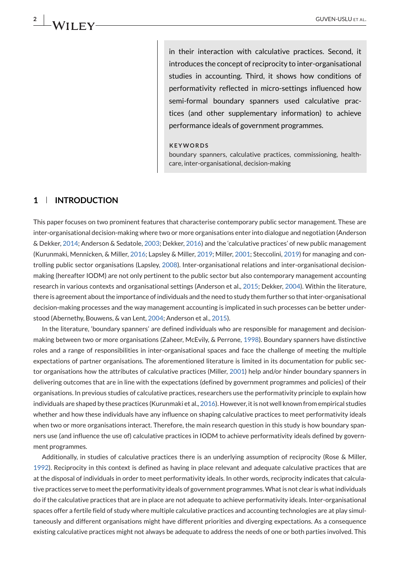in their interaction with calculative practices. Second, it introduces the concept of reciprocity to inter-organisational studies in accounting. Third, it shows how conditions of performativity reflected in micro-settings influenced how semi-formal boundary spanners used calculative practices (and other supplementary information) to achieve performance ideals of government programmes.

#### **KEYWORDS**

boundary spanners, calculative practices, commissioning, healthcare, inter-organisational, decision-making

# **1 INTRODUCTION**

This paper focuses on two prominent features that characterise contemporary public sector management. These are inter-organisational decision-making where two or more organisations enter into dialogue and negotiation (Anderson & Dekker, 2014; Anderson & Sedatole, 2003; Dekker, 2016) and the 'calculative practices' of new public management (Kurunmaki, Mennicken, & Miller, 2016; Lapsley & Miller, 2019; Miller, 2001; Steccolini, 2019) for managing and controlling public sector organisations (Lapsley, 2008). Inter-organisational relations and inter-organisational decisionmaking (hereafter IODM) are not only pertinent to the public sector but also contemporary management accounting research in various contexts and organisational settings (Anderson et al., 2015; Dekker, 2004). Within the literature, there is agreement about the importance of individuals and the need to study them further so that inter-organisational decision-making processes and the way management accounting is implicated in such processes can be better understood (Abernethy, Bouwens, & van Lent, 2004; Anderson et al., 2015).

In the literature, 'boundary spanners' are defined individuals who are responsible for management and decisionmaking between two or more organisations (Zaheer, McEvily, & Perrone, 1998). Boundary spanners have distinctive roles and a range of responsibilities in inter-organisational spaces and face the challenge of meeting the multiple expectations of partner organisations. The aforementioned literature is limited in its documentation for public sector organisations how the attributes of calculative practices (Miller, 2001) help and/or hinder boundary spanners in delivering outcomes that are in line with the expectations (defined by government programmes and policies) of their organisations. In previous studies of calculative practices, researchers use the performativity principle to explain how individuals are shaped by these practices (Kurunmaki et al., 2016). However, it is not well known from empirical studies whether and how these individuals have any influence on shaping calculative practices to meet performativity ideals when two or more organisations interact. Therefore, the main research question in this study is how boundary spanners use (and influence the use of) calculative practices in IODM to achieve performativity ideals defined by government programmes.

Additionally, in studies of calculative practices there is an underlying assumption of reciprocity (Rose & Miller, 1992). Reciprocity in this context is defined as having in place relevant and adequate calculative practices that are at the disposal of individuals in order to meet performativity ideals. In other words, reciprocity indicates that calculative practices serve to meet the performativity ideals of government programmes.What is not clear is what individuals do if the calculative practices that are in place are not adequate to achieve performativity ideals. Inter-organisational spaces offer a fertile field of study where multiple calculative practices and accounting technologies are at play simultaneously and different organisations might have different priorities and diverging expectations. As a consequence existing calculative practices might not always be adequate to address the needs of one or both parties involved. This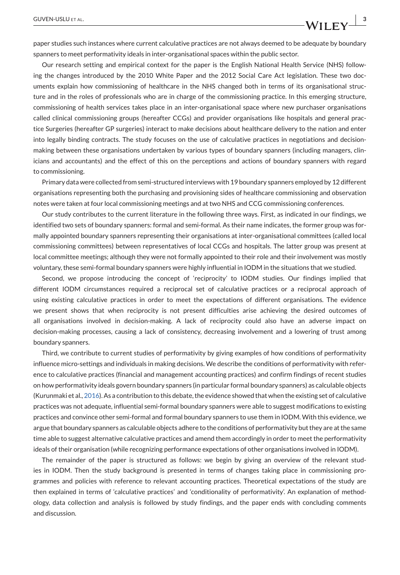paper studies such instances where current calculative practices are not always deemed to be adequate by boundary spanners to meet performativity ideals in inter-organisational spaces within the public sector.

Our research setting and empirical context for the paper is the English National Health Service (NHS) following the changes introduced by the 2010 White Paper and the 2012 Social Care Act legislation. These two documents explain how commissioning of healthcare in the NHS changed both in terms of its organisational structure and in the roles of professionals who are in charge of the commissioning practice. In this emerging structure, commissioning of health services takes place in an inter-organisational space where new purchaser organisations called clinical commissioning groups (hereafter CCGs) and provider organisations like hospitals and general practice Surgeries (hereafter GP surgeries) interact to make decisions about healthcare delivery to the nation and enter into legally binding contracts. The study focuses on the use of calculative practices in negotiations and decisionmaking between these organisations undertaken by various types of boundary spanners (including managers, clinicians and accountants) and the effect of this on the perceptions and actions of boundary spanners with regard to commissioning.

Primary data were collected from semi-structured interviews with 19 boundary spanners employed by 12 different organisations representing both the purchasing and provisioning sides of healthcare commissioning and observation notes were taken at four local commissioning meetings and at two NHS and CCG commissioning conferences.

Our study contributes to the current literature in the following three ways. First, as indicated in our findings, we identified two sets of boundary spanners: formal and semi-formal. As their name indicates, the former group was formally appointed boundary spanners representing their organisations at inter-organisational committees (called local commissioning committees) between representatives of local CCGs and hospitals. The latter group was present at local committee meetings; although they were not formally appointed to their role and their involvement was mostly voluntary, these semi-formal boundary spanners were highly influential in IODM in the situations that we studied.

Second, we propose introducing the concept of 'reciprocity' to IODM studies. Our findings implied that different IODM circumstances required a reciprocal set of calculative practices or a reciprocal approach of using existing calculative practices in order to meet the expectations of different organisations. The evidence we present shows that when reciprocity is not present difficulties arise achieving the desired outcomes of all organisations involved in decision-making. A lack of reciprocity could also have an adverse impact on decision-making processes, causing a lack of consistency, decreasing involvement and a lowering of trust among boundary spanners.

Third, we contribute to current studies of performativity by giving examples of how conditions of performativity influence micro-settings and individuals in making decisions. We describe the conditions of performativity with reference to calculative practices (financial and management accounting practices) and confirm findings of recent studies on how performativity ideals govern boundary spanners (in particular formal boundary spanners) as calculable objects (Kurunmaki et al., 2016). As a contribution to this debate, the evidence showed that when the existing set of calculative practices was not adequate, influential semi-formal boundary spanners were able to suggest modifications to existing practices and convince other semi-formal and formal boundary spanners to use them in IODM. With this evidence, we argue that boundary spanners as calculable objects adhere to the conditions of performativity but they are at the same time able to suggest alternative calculative practices and amend them accordingly in order to meet the performativity ideals of their organisation (while recognizing performance expectations of other organisations involved in IODM).

The remainder of the paper is structured as follows: we begin by giving an overview of the relevant studies in IODM. Then the study background is presented in terms of changes taking place in commissioning programmes and policies with reference to relevant accounting practices. Theoretical expectations of the study are then explained in terms of 'calculative practices' and 'conditionality of performativity'. An explanation of methodology, data collection and analysis is followed by study findings, and the paper ends with concluding comments and discussion.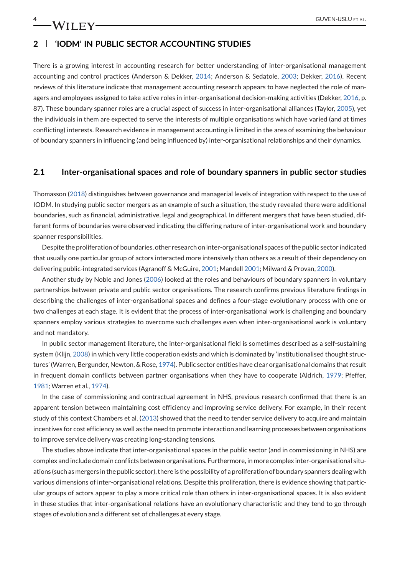# **2 'IODM' IN PUBLIC SECTOR ACCOUNTING STUDIES**

There is a growing interest in accounting research for better understanding of inter-organisational management accounting and control practices (Anderson & Dekker, 2014; Anderson & Sedatole, 2003; Dekker, 2016). Recent reviews of this literature indicate that management accounting research appears to have neglected the role of managers and employees assigned to take active roles in inter-organisational decision-making activities (Dekker, 2016, p. 87). These boundary spanner roles are a crucial aspect of success in inter-organisational alliances (Taylor, 2005), yet the individuals in them are expected to serve the interests of multiple organisations which have varied (and at times conflicting) interests. Research evidence in management accounting is limited in the area of examining the behaviour of boundary spanners in influencing (and being influenced by) inter-organisational relationships and their dynamics.

#### **2.1 Inter-organisational spaces and role of boundary spanners in public sector studies**

Thomasson (2018) distinguishes between governance and managerial levels of integration with respect to the use of IODM. In studying public sector mergers as an example of such a situation, the study revealed there were additional boundaries, such as financial, administrative, legal and geographical. In different mergers that have been studied, different forms of boundaries were observed indicating the differing nature of inter-organisational work and boundary spanner responsibilities.

Despite the proliferation of boundaries, other research on inter-organisational spaces of the public sector indicated that usually one particular group of actors interacted more intensively than others as a result of their dependency on delivering public-integrated services (Agranoff & McGuire, 2001; Mandell 2001; Milward & Provan, 2000).

Another study by Noble and Jones (2006) looked at the roles and behaviours of boundary spanners in voluntary partnerships between private and public sector organisations. The research confirms previous literature findings in describing the challenges of inter-organisational spaces and defines a four-stage evolutionary process with one or two challenges at each stage. It is evident that the process of inter-organisational work is challenging and boundary spanners employ various strategies to overcome such challenges even when inter-organisational work is voluntary and not mandatory.

In public sector management literature, the inter-organisational field is sometimes described as a self-sustaining system (Klijn, 2008) in which very little cooperation exists and which is dominated by 'institutionalised thought structures' (Warren, Bergunder, Newton, & Rose, 1974). Public sector entities have clear organisational domains that result in frequent domain conflicts between partner organisations when they have to cooperate (Aldrich, 1979; Pfeffer, 1981; Warren et al., 1974).

In the case of commissioning and contractual agreement in NHS, previous research confirmed that there is an apparent tension between maintaining cost efficiency and improving service delivery. For example, in their recent study of this context Chambers et al. (2013) showed that the need to tender service delivery to acquire and maintain incentives for cost efficiency as well as the need to promote interaction and learning processes between organisations to improve service delivery was creating long-standing tensions.

The studies above indicate that inter-organisational spaces in the public sector (and in commissioning in NHS) are complex and include domain conflicts between organisations. Furthermore, in more complex inter-organisational situations (such as mergers in the public sector), there is the possibility of a proliferation of boundary spanners dealing with various dimensions of inter-organisational relations. Despite this proliferation, there is evidence showing that particular groups of actors appear to play a more critical role than others in inter-organisational spaces. It is also evident in these studies that inter-organisational relations have an evolutionary characteristic and they tend to go through stages of evolution and a different set of challenges at every stage.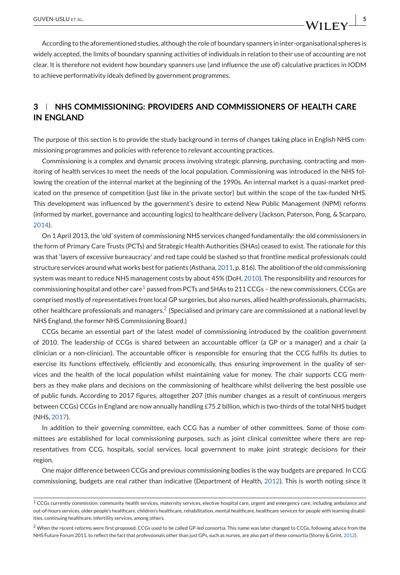According to the aforementioned studies, although the role of boundary spanners in inter-organisational spheres is widely accepted, the limits of boundary spanning activities of individuals in relation to their use of accounting are not clear. It is therefore not evident how boundary spanners use (and influence the use of) calculative practices in IODM to achieve performativity ideals defined by government programmes.

# **3 NHS COMMISSIONING: PROVIDERS AND COMMISSIONERS OF HEALTH CARE IN ENGLAND**

The purpose of this section is to provide the study background in terms of changes taking place in English NHS commissioning programmes and policies with reference to relevant accounting practices.

Commissioning is a complex and dynamic process involving strategic planning, purchasing, contracting and monitoring of health services to meet the needs of the local population. Commissioning was introduced in the NHS following the creation of the internal market at the beginning of the 1990s. An internal market is a quasi-market predicated on the presence of competition (just like in the private sector) but within the scope of the tax-funded NHS. This development was influenced by the government's desire to extend New Public Management (NPM) reforms (informed by market, governance and accounting logics) to healthcare delivery (Jackson, Paterson, Pong, & Scarparo, 2014).

On 1 April 2013, the 'old' system of commissioning NHS services changed fundamentally: the old commissioners in the form of Primary Care Trusts (PCTs) and Strategic Health Authorities (SHAs) ceased to exist. The rationale for this was that 'layers of excessive bureaucracy' and red tape could be slashed so that frontline medical professionals could structure services around what works best for patients (Asthana, 2011, p. 816). The abolition of the old commissioning system was meant to reduce NHS management costs by about 45% (DoH, 2010). The responsibility and resources for commissioning hospital and other care<sup>1</sup> passed from PCTs and SHAs to 211 CCGs – the new commissioners. CCGs are comprised mostly of representatives from local GP surgeries, but also nurses, allied health professionals, pharmacists, other healthcare professionals and managers.<sup>2</sup> (Specialised and primary care are commissioned at a national level by NHS England, the former NHS Commissioning Board.)

CCGs became an essential part of the latest model of commissioning introduced by the coalition government of 2010. The leadership of CCGs is shared between an accountable officer (a GP or a manager) and a chair (a clinician or a non-clinician). The accountable officer is responsible for ensuring that the CCG fulfils its duties to exercise its functions effectively, efficiently and economically, thus ensuring improvement in the quality of services and the health of the local population whilst maintaining value for money. The chair supports CCG members as they make plans and decisions on the commissioning of healthcare whilst delivering the best possible use of public funds. According to 2017 figures, altogether 207 (this number changes as a result of continuous mergers between CCGs) CCGs in England are now annually handling £75.2 billion, which is two-thirds of the total NHS budget (NHS, 2017).

In addition to their governing committee, each CCG has a number of other committees. Some of those committees are established for local commissioning purposes, such as joint clinical committee where there are representatives from CCG, hospitals, social services, local government to make joint strategic decisions for their region.

One major difference between CCGs and previous commissioning bodies is the way budgets are prepared. In CCG commissioning, budgets are real rather than indicative (Department of Health, 2012). This is worth noting since it

 $1$  CCGs currently commission: community health services, maternity services, elective hospital care, urgent and emergency care, including ambulance and out-of-hours services, older people's healthcare, children's healthcare, rehabilitation, mental healthcare, healthcare services for people with learning disabilities, continuing healthcare, infertility services, among others.

<sup>&</sup>lt;sup>2</sup> When the recent reforms were first proposed, CCGs used to be called GP-led consortia. This name was later changed to CCGs, following advice from the NHS Future Forum 2011, to reflect the fact that professionals other than just GPs, such as nurses, are also part of these consortia (Storey & Grint, 2012).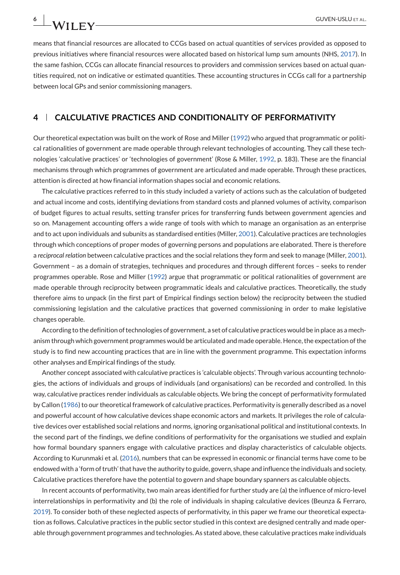<span id="page-5-0"></span>means that financial resources are allocated to CCGs based on actual quantities of services provided as opposed to previous initiatives where financial resources were allocated based on historical lump sum amounts (NHS, 2017). In the same fashion, CCGs can allocate financial resources to providers and commission services based on actual quantities required, not on indicative or estimated quantities. These accounting structures in CCGs call for a partnership between local GPs and senior commissioning managers.

## **4 CALCULATIVE PRACTICES AND CONDITIONALITY OF PERFORMATIVITY**

Our theoretical expectation was built on the work of Rose and Miller (1992) who argued that programmatic or political rationalities of government are made operable through relevant technologies of accounting. They call these technologies 'calculative practices' or 'technologies of government' (Rose & Miller, 1992, p. 183). These are the financial mechanisms through which programmes of government are articulated and made operable. Through these practices, attention is directed at how financial information shapes social and economic relations.

The calculative practices referred to in this study included a variety of actions such as the calculation of budgeted and actual income and costs, identifying deviations from standard costs and planned volumes of activity, comparison of budget figures to actual results, setting transfer prices for transferring funds between government agencies and so on. Management accounting offers a wide range of tools with which to manage an organisation as an enterprise and to act upon individuals and subunits as standardised entities (Miller, 2001). Calculative practices are technologies through which conceptions of proper modes of governing persons and populations are elaborated. There is therefore a *reciprocal relation* between calculative practices and the social relations they form and seek to manage (Miller, 2001). Government – as a domain of strategies, techniques and procedures and through different forces – seeks to render programmes operable. Rose and Miller (1992) argue that programmatic or political rationalities of government are made operable through reciprocity between programmatic ideals and calculative practices. Theoretically, the study therefore aims to unpack (in the first part of Empirical findings section below) the reciprocity between the studied commissioning legislation and the calculative practices that governed commissioning in order to make legislative changes operable.

According to the definition of technologies of government, a set of calculative practices would be in place as a mechanism through which government programmes would be articulated and made operable. Hence, the expectation of the study is to find new accounting practices that are in line with the government programme. This expectation informs other analyses and Empirical findings of the study.

Another concept associated with calculative practices is 'calculable objects'. Through various accounting technologies, the actions of individuals and groups of individuals (and organisations) can be recorded and controlled. In this way, calculative practices render individuals as calculable objects. We bring the concept of performativity formulated by Callon (1986) to our theoretical framework of calculative practices. Performativity is generally described as a novel and powerful account of how calculative devices shape economic actors and markets. It privileges the role of calculative devices over established social relations and norms, ignoring organisational political and institutional contexts. In the second part of the findings, we define conditions of performativity for the organisations we studied and explain how formal boundary spanners engage with calculative practices and display characteristics of calculable objects. According to Kurunmaki et al. (2016), numbers that can be expressed in economic or financial terms have come to be endowed with a 'form of truth' that have the authority to guide, govern, shape and influence the individuals and society. Calculative practices therefore have the potential to govern and shape boundary spanners as calculable objects.

In recent accounts of performativity, two main areas identified for further study are (a) the influence of micro-level interrelationships in performativity and (b) the role of individuals in shaping calculative devices (Beunza & Ferraro, 2019). To consider both of these neglected aspects of performativity, in this paper we frame our theoretical expectation as follows. Calculative practices in the public sector studied in this context are designed centrally and made operable through government programmes and technologies. As stated above, these calculative practices make individuals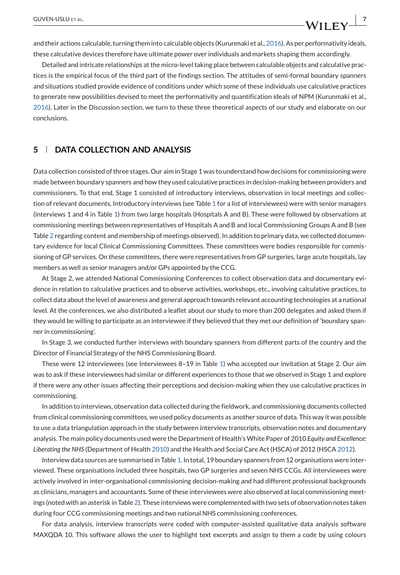and their actions calculable, turning them into calculable objects (Kurunmaki et al., 2016). As per performativity ideals, these calculative devices therefore have ultimate power over individuals and markets shaping them accordingly.

Detailed and intricate relationships at the micro-level taking place between calculable objects and calculative practices is the empirical focus of the third part of the findings section. The attitudes of semi-formal boundary spanners and situations studied provide evidence of conditions under which some of these individuals use calculative practices to generate new possibilities devised to meet the performativity and quantification ideals of NPM (Kurunmaki et al., 2016). Later in the Discussion section, we turn to these three theoretical aspects of our study and elaborate on our conclusions.

# **5 DATA COLLECTION AND ANALYSIS**

Data collection consisted of three stages. Our aim in Stage 1 was to understand how decisions for commissioning were made between boundary spanners and how they used calculative practices in decision-making between providers and commissioners. To that end, Stage 1 consisted of introductory interviews, observation in local meetings and collection of relevant documents. Introductory interviews (see Table [1](#page-7-0) for a list of interviewees) were with senior managers (interviews 1 and 4 in Table [1\)](#page-7-0) from two large hospitals (Hospitals A and B). These were followed by observations at commissioning meetings between representatives of Hospitals A and B and local Commissioning Groups A and B (see Table [2](#page-9-0) regarding content and membership of meetings observed). In addition to primary data, we collected documentary evidence for local Clinical Commissioning Committees. These committees were bodies responsible for commissioning of GP services. On these committees, there were representatives from GP surgeries, large acute hospitals, lay members as well as senior managers and/or GPs appointed by the CCG.

At Stage 2, we attended National Commissioning Conferences to collect observation data and documentary evidence in relation to calculative practices and to observe activities, workshops, etc., involving calculative practices, to collect data about the level of awareness and general approach towards relevant accounting technologies at a national level. At the conferences, we also distributed a leaflet about our study to more than 200 delegates and asked them if they would be willing to participate as an interviewee if they believed that they met our definition of 'boundary spanner in commissioning'.

In Stage 3, we conducted further interviews with boundary spanners from different parts of the country and the Director of Financial Strategy of the NHS Commissioning Board.

These were 12 interviewees (see Interviewees 8–19 in Table [1\)](#page-7-0) who accepted our invitation at Stage 2. Our aim was to ask if these interviewees had similar or different experiences to those that we observed in Stage 1 and explore if there were any other issues affecting their perceptions and decision-making when they use calculative practices in commissioning.

In addition to interviews, observation data collected during the fieldwork, and commissioning documents collected from clinical commissioning committees, we used policy documents as another source of data. This way it was possible to use a data triangulation approach in the study between interview transcripts, observation notes and documentary analysis. The main policy documents used were the Department of Health's White Paper of 2010 *Equity and Excellence: Liberating the NHS* (Department of Health 2010) and the Health and Social Care Act (HSCA) of 2012 (HSCA 2012).

Interview data sources are summarised in Table [1.](#page-7-0) In total, 19 boundary spanners from 12 organisations were interviewed. These organisations included three hospitals, two GP surgeries and seven NHS CCGs. All interviewees were actively involved in inter-organisational commissioning decision-making and had different professional backgrounds as clinicians, managers and accountants. Some of these interviewees were also observed at local commissioning meetings (noted with an asterisk in Table [2\)](#page-9-0). These interviews were complemented with two sets of observation notes taken during four CCG commissioning meetings and two national NHS commissioning conferences.

For data analysis, interview transcripts were coded with computer-assisted qualitative data analysis software MAXQDA 10. This software allows the user to highlight text excerpts and assign to them a code by using colours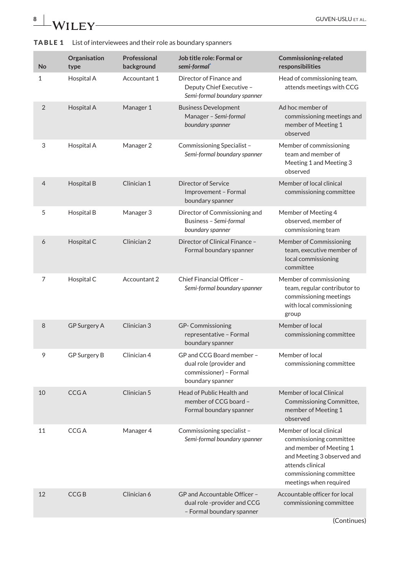<span id="page-7-0"></span>

|    | $\frac{8}{2}$ WILEY- |                            |                                                                         |
|----|----------------------|----------------------------|-------------------------------------------------------------------------|
|    |                      |                            | <b>TABLE 1</b> List of interviewees and their role as boundary spanners |
| Nο | Organisation<br>type | Professional<br>background | Job title role: Formal or<br>semi-formal <sup>®</sup>                   |

| No             | Organisation<br>type | Professional<br>background | Job title role: Formal or<br>semi-formal <sup>®</sup>                                              | <b>Commissioning-related</b><br>responsibilities                                                                                                                                      |
|----------------|----------------------|----------------------------|----------------------------------------------------------------------------------------------------|---------------------------------------------------------------------------------------------------------------------------------------------------------------------------------------|
| 1              | Hospital A           | Accountant 1               | Director of Finance and<br>Deputy Chief Executive -<br>Semi-formal boundary spanner                | Head of commissioning team,<br>attends meetings with CCG                                                                                                                              |
| $\overline{2}$ | Hospital A           | Manager 1                  | <b>Business Development</b><br>Manager - Semi-formal<br>boundary spanner                           | Ad hoc member of<br>commissioning meetings and<br>member of Meeting 1<br>observed                                                                                                     |
| 3              | Hospital A           | Manager 2                  | Commissioning Specialist -<br>Semi-formal boundary spanner                                         | Member of commissioning<br>team and member of<br>Meeting 1 and Meeting 3<br>observed                                                                                                  |
| 4              | Hospital B           | Clinician 1                | Director of Service<br>Improvement - Formal<br>boundary spanner                                    | Member of local clinical<br>commissioning committee                                                                                                                                   |
| 5              | Hospital B           | Manager 3                  | Director of Commissioning and<br>Business - Semi-formal<br>boundary spanner                        | Member of Meeting 4<br>observed, member of<br>commissioning team                                                                                                                      |
| 6              | Hospital C           | Clinician 2                | Director of Clinical Finance -<br>Formal boundary spanner                                          | Member of Commissioning<br>team, executive member of<br>local commissioning<br>committee                                                                                              |
| 7              | Hospital C           | Accountant 2               | Chief Financial Officer -<br>Semi-formal boundary spanner                                          | Member of commissioning<br>team, regular contributor to<br>commissioning meetings<br>with local commissioning<br>group                                                                |
| 8              | GP Surgery A         | Clinician 3                | <b>GP-Commissioning</b><br>representative - Formal<br>boundary spanner                             | Member of local<br>commissioning committee                                                                                                                                            |
| 9              | GP Surgery B         | Clinician 4                | GP and CCG Board member -<br>dual role (provider and<br>commissioner) - Formal<br>boundary spanner | Member of local<br>commissioning committee                                                                                                                                            |
| 10             | <b>CCGA</b>          | Clinician 5                | Head of Public Health and<br>member of CCG board -<br>Formal boundary spanner                      | Member of local Clinical<br>Commissioning Committee,<br>member of Meeting 1<br>observed                                                                                               |
| 11             | CCG A                | Manager 4                  | Commissioning specialist -<br>Semi-formal boundary spanner                                         | Member of local clinical<br>commissioning committee<br>and member of Meeting 1<br>and Meeting 3 observed and<br>attends clinical<br>commissioning committee<br>meetings when required |
| 12             | <b>CCGB</b>          | Clinician 6                | GP and Accountable Officer -<br>dual role -provider and CCG<br>- Formal boundary spanner           | Accountable officer for local<br>commissioning committee                                                                                                                              |
|                |                      |                            |                                                                                                    | (Continues                                                                                                                                                                            |

(Continues)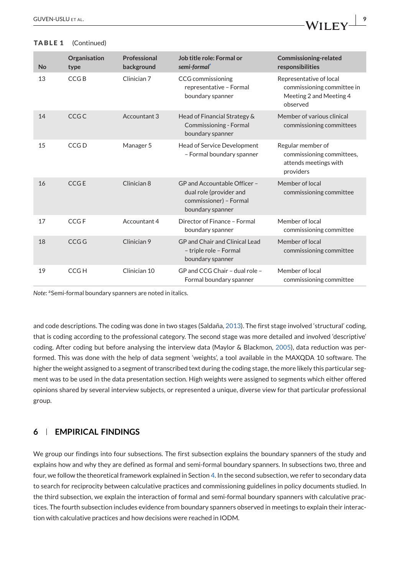## <span id="page-8-0"></span>**TABLE 1** (Continued)

| <b>No</b> | Organisation<br>type | Professional<br>background | Job title role: Formal or<br>semi-formal                                                              | <b>Commissioning-related</b><br>responsibilities                                             |
|-----------|----------------------|----------------------------|-------------------------------------------------------------------------------------------------------|----------------------------------------------------------------------------------------------|
| 13        | CCG <sub>B</sub>     | Clinician 7                | <b>CCG</b> commissioning<br>representative - Formal<br>boundary spanner                               | Representative of local<br>commissioning committee in<br>Meeting 2 and Meeting 4<br>observed |
| 14        | CCG <sub>C</sub>     | Accountant 3               | Head of Financial Strategy &<br>Commissioning - Formal<br>boundary spanner                            | Member of various clinical<br>commissioning committees                                       |
| 15        | CCG D                | Manager 5                  | Head of Service Development<br>- Formal boundary spanner                                              | Regular member of<br>commissioning committees,<br>attends meetings with<br>providers         |
| 16        | CCG <sub>F</sub>     | Clinician 8                | GP and Accountable Officer -<br>dual role (provider and<br>commissioner) - Formal<br>boundary spanner | Member of local<br>commissioning committee                                                   |
| 17        | CCG <sub>F</sub>     | Accountant 4               | Director of Finance - Formal<br>boundary spanner                                                      | Member of local<br>commissioning committee                                                   |
| 18        | CCG G                | Clinician 9                | <b>GP</b> and Chair and Clinical Lead<br>- triple role - Formal<br>boundary spanner                   | Member of local<br>commissioning committee                                                   |
| 19        | CCG <sub>H</sub>     | Clinician 10               | GP and CCG Chair - dual role -<br>Formal boundary spanner                                             | Member of local<br>commissioning committee                                                   |

*Note*: <sup>a</sup>Semi-formal boundary spanners are noted in italics.

and code descriptions. The coding was done in two stages (Saldaña, 2013). The first stage involved 'structural' coding, that is coding according to the professional category. The second stage was more detailed and involved 'descriptive' coding. After coding but before analysing the interview data (Maylor & Blackmon, 2005), data reduction was performed. This was done with the help of data segment 'weights', a tool available in the MAXQDA 10 software. The higher the weight assigned to a segment of transcribed text during the coding stage, the more likely this particular segment was to be used in the data presentation section. High weights were assigned to segments which either offered opinions shared by several interview subjects, or represented a unique, diverse view for that particular professional group.

# **6 EMPIRICAL FINDINGS**

We group our findings into four subsections. The first subsection explains the boundary spanners of the study and explains how and why they are defined as formal and semi-formal boundary spanners. In subsections two, three and four, we follow the theoretical framework explained in Section [4.](#page-5-0) In the second subsection, we refer to secondary data to search for reciprocity between calculative practices and commissioning guidelines in policy documents studied. In the third subsection, we explain the interaction of formal and semi-formal boundary spanners with calculative practices. The fourth subsection includes evidence from boundary spanners observed in meetings to explain their interaction with calculative practices and how decisions were reached in IODM.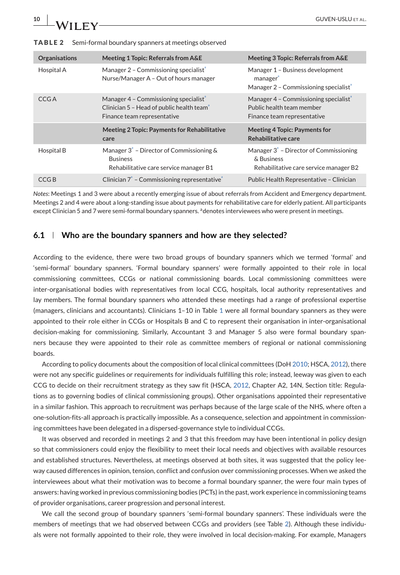| <b>Organisations</b> | Meeting 1 Topic: Referrals from A&E                                                                                                       | Meeting 3 Topic: Referrals from A&E                                                                           |
|----------------------|-------------------------------------------------------------------------------------------------------------------------------------------|---------------------------------------------------------------------------------------------------------------|
| Hospital A           | Manager 2 - Commissioning specialist <sup>®</sup><br>Nurse/Manager A - Out of hours manager                                               | Manager 1 - Business development<br>manager<br>Manager 2 - Commissioning specialist <sup>®</sup>              |
| CCG A                | Manager 4 - Commissioning specialist <sup>®</sup><br>Clinician 5 - Head of public health team <sup>®</sup><br>Finance team representative | Manager 4 - Commissioning specialist <sup>®</sup><br>Public health team member<br>Finance team representative |
|                      | <b>Meeting 2 Topic: Payments for Rehabilitative</b><br>care                                                                               | <b>Meeting 4 Topic: Payments for</b><br>Rehabilitative care                                                   |
| Hospital B           | Manager $3^{\circ}$ – Director of Commissioning &<br><b>Business</b><br>Rehabilitative care service manager B1                            | Manager 3 <sup>ª</sup> - Director of Commissioning<br>& Business<br>Rehabilitative care service manager B2    |
|                      |                                                                                                                                           |                                                                                                               |

<span id="page-9-0"></span>**TABLE 2** Semi-formal boundary spanners at meetings observed

*Notes*: Meetings 1 and 3 were about a recently emerging issue of about referrals from Accident and Emergency department. Meetings 2 and 4 were about a long-standing issue about payments for rehabilitative care for elderly patient. All participants except Clinician 5 and 7 were semi-formal boundary spanners. <sup>a</sup>denotes interviewees who were present in meetings.

#### **6.1 Who are the boundary spanners and how are they selected?**

According to the evidence, there were two broad groups of boundary spanners which we termed 'formal' and 'semi-formal' boundary spanners. 'Formal boundary spanners' were formally appointed to their role in local commissioning committees, CCGs or national commissioning boards. Local commissioning committees were inter-organisational bodies with representatives from local CCG, hospitals, local authority representatives and lay members. The formal boundary spanners who attended these meetings had a range of professional expertise (managers, clinicians and accountants). Clinicians 1–10 in Table [1](#page-7-0) were all formal boundary spanners as they were appointed to their role either in CCGs or Hospitals B and C to represent their organisation in inter-organisational decision-making for commissioning. Similarly, Accountant 3 and Manager 5 also were formal boundary spanners because they were appointed to their role as committee members of regional or national commissioning boards.

According to policy documents about the composition of local clinical committees (DoH 2010; HSCA, 2012), there were not any specific guidelines or requirements for individuals fulfilling this role; instead, leeway was given to each CCG to decide on their recruitment strategy as they saw fit (HSCA, 2012, Chapter A2, 14N, Section title: Regulations as to governing bodies of clinical commissioning groups). Other organisations appointed their representative in a similar fashion. This approach to recruitment was perhaps because of the large scale of the NHS, where often a one-solution-fits-all approach is practically impossible. As a consequence, selection and appointment in commissioning committees have been delegated in a dispersed-governance style to individual CCGs.

It was observed and recorded in meetings 2 and 3 that this freedom may have been intentional in policy design so that commissioners could enjoy the flexibility to meet their local needs and objectives with available resources and established structures. Nevertheless, at meetings observed at both sites, it was suggested that the policy leeway caused differences in opinion, tension, conflict and confusion over commissioning processes. When we asked the interviewees about what their motivation was to become a formal boundary spanner, the were four main types of answers: having worked in previous commissioning bodies (PCTs) in the past, work experience in commissioning teams of provider organisations, career progression and personal interest.

We call the second group of boundary spanners 'semi-formal boundary spanners'. These individuals were the members of meetings that we had observed between CCGs and providers (see Table 2). Although these individuals were not formally appointed to their role, they were involved in local decision-making. For example, Managers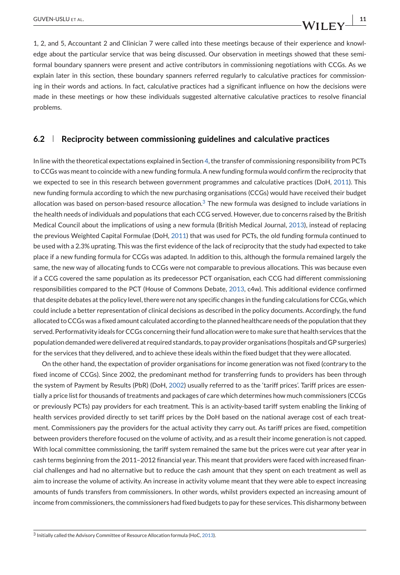1, 2, and 5, Accountant 2 and Clinician 7 were called into these meetings because of their experience and knowledge about the particular service that was being discussed. Our observation in meetings showed that these semiformal boundary spanners were present and active contributors in commissioning negotiations with CCGs. As we explain later in this section, these boundary spanners referred regularly to calculative practices for commissioning in their words and actions. In fact, calculative practices had a significant influence on how the decisions were made in these meetings or how these individuals suggested alternative calculative practices to resolve financial problems.

## **6.2 Reciprocity between commissioning guidelines and calculative practices**

In line with the theoretical expectations explained in Section [4,](#page-5-0) the transfer of commissioning responsibility from PCTs to CCGs was meant to coincide with a new funding formula. A new funding formula would confirm the reciprocity that we expected to see in this research between government programmes and calculative practices (DoH, 2011). This new funding formula according to which the new purchasing organisations (CCGs) would have received their budget allocation was based on person-based resource allocation. $3$  The new formula was designed to include variations in the health needs of individuals and populations that each CCG served. However, due to concerns raised by the British Medical Council about the implications of using a new formula (British Medical Journal, 2013), instead of replacing the previous Weighted Capital Formulae (DoH, 2011) that was used for PCTs, the old funding formula continued to be used with a 2.3% uprating. This was the first evidence of the lack of reciprocity that the study had expected to take place if a new funding formula for CCGs was adapted. In addition to this, although the formula remained largely the same, the new way of allocating funds to CCGs were not comparable to previous allocations. This was because even if a CCG covered the same population as its predecessor PCT organisation, each CCG had different commissioning responsibilities compared to the PCT (House of Commons Debate, 2013, c4w). This additional evidence confirmed that despite debates at the policy level, there were not any specific changes in the funding calculations for CCGs, which could include a better representation of clinical decisions as described in the policy documents. Accordingly, the fund allocated to CCGs was a fixed amount calculated according to the planned healthcare needs of the population that they served. Performativity ideals for CCGs concerning their fund allocation were to make sure that health services that the population demanded were delivered at required standards, to pay provider organisations (hospitals and GP surgeries) for the services that they delivered, and to achieve these ideals within the fixed budget that they were allocated.

On the other hand, the expectation of provider organisations for income generation was not fixed (contrary to the fixed income of CCGs). Since 2002, the predominant method for transferring funds to providers has been through the system of Payment by Results (PbR) (DoH, 2002) usually referred to as the 'tariff prices'. Tariff prices are essentially a price list for thousands of treatments and packages of care which determines how much commissioners (CCGs or previously PCTs) pay providers for each treatment. This is an activity-based tariff system enabling the linking of health services provided directly to set tariff prices by the DoH based on the national average cost of each treatment. Commissioners pay the providers for the actual activity they carry out. As tariff prices are fixed, competition between providers therefore focused on the volume of activity, and as a result their income generation is not capped. With local committee commissioning, the tariff system remained the same but the prices were cut year after year in cash terms beginning from the 2011–2012 financial year. This meant that providers were faced with increased financial challenges and had no alternative but to reduce the cash amount that they spent on each treatment as well as aim to increase the volume of activity. An increase in activity volume meant that they were able to expect increasing amounts of funds transfers from commissioners. In other words, whilst providers expected an increasing amount of income from commissioners, the commissioners had fixed budgets to pay for these services. This disharmony between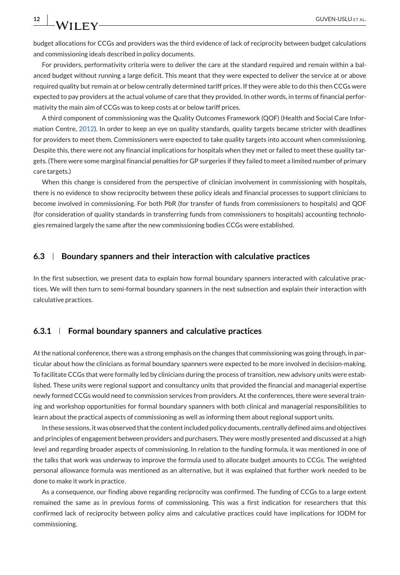budget allocations for CCGs and providers was the third evidence of lack of reciprocity between budget calculations and commissioning ideals described in policy documents.

For providers, performativity criteria were to deliver the care at the standard required and remain within a balanced budget without running a large deficit. This meant that they were expected to deliver the service at or above required quality but remain at or below centrally determined tariff prices. If they were able to do this then CCGs were expected to pay providers at the actual volume of care that they provided. In other words, in terms of financial performativity the main aim of CCGs was to keep costs at or below tariff prices.

A third component of commissioning was the Quality Outcomes Framework (QOF) (Health and Social Care Information Centre, 2012). In order to keep an eye on quality standards, quality targets became stricter with deadlines for providers to meet them. Commissioners were expected to take quality targets into account when commissioning. Despite this, there were not any financial implications for hospitals when they met or failed to meet these quality targets. (There were some marginal financial penalties for GP surgeries if they failed to meet a limited number of primary care targets.)

When this change is considered from the perspective of clinician involvement in commissioning with hospitals, there is no evidence to show reciprocity between these policy ideals and financial processes to support clinicians to become involved in commissioning. For both PbR (for transfer of funds from commissioners to hospitals) and QOF (for consideration of quality standards in transferring funds from commissioners to hospitals) accounting technologies remained largely the same after the new commissioning bodies CCGs were established.

### **6.3 Boundary spanners and their interaction with calculative practices**

In the first subsection, we present data to explain how formal boundary spanners interacted with calculative practices. We will then turn to semi-formal boundary spanners in the next subsection and explain their interaction with calculative practices.

#### **6.3.1 Formal boundary spanners and calculative practices**

At the national conference, there was a strong emphasis on the changes that commissioning was going through, in particular about how the clinicians as formal boundary spanners were expected to be more involved in decision-making. To facilitate CCGs that were formally led by clinicians during the process of transition, new advisory units were established. These units were regional support and consultancy units that provided the financial and managerial expertise newly formed CCGs would need to commission services from providers. At the conferences, there were several training and workshop opportunities for formal boundary spanners with both clinical and managerial responsibilities to learn about the practical aspects of commissioning as well as informing them about regional support units.

In these sessions, it was observed that the content included policy documents, centrally defined aims and objectives and principles of engagement between providers and purchasers. They were mostly presented and discussed at a high level and regarding broader aspects of commissioning. In relation to the funding formula, it was mentioned in one of the talks that work was underway to improve the formula used to allocate budget amounts to CCGs. The weighted personal allowance formula was mentioned as an alternative, but it was explained that further work needed to be done to make it work in practice.

As a consequence, our finding above regarding reciprocity was confirmed. The funding of CCGs to a large extent remained the same as in previous forms of commissioning. This was a first indication for researchers that this confirmed lack of reciprocity between policy aims and calculative practices could have implications for IODM for commissioning.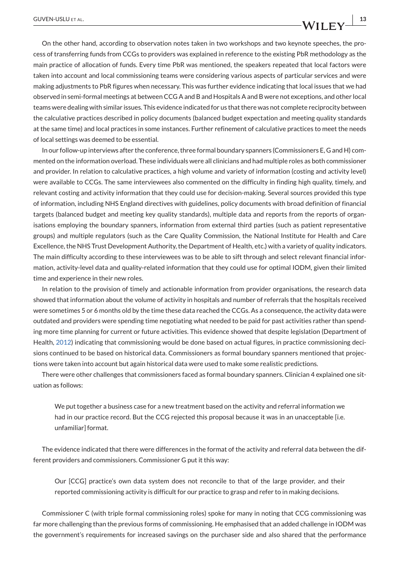On the other hand, according to observation notes taken in two workshops and two keynote speeches, the process of transferring funds from CCGs to providers was explained in reference to the existing PbR methodology as the main practice of allocation of funds. Every time PbR was mentioned, the speakers repeated that local factors were taken into account and local commissioning teams were considering various aspects of particular services and were making adjustments to PbR figures when necessary. This was further evidence indicating that local issues that we had observed in semi-formal meetings at between CCG A and B and Hospitals A and B were not exceptions, and other local teams were dealing with similar issues. This evidence indicated for us that there was not complete reciprocity between the calculative practices described in policy documents (balanced budget expectation and meeting quality standards at the same time) and local practices in some instances. Further refinement of calculative practices to meet the needs of local settings was deemed to be essential.

In our follow-up interviews after the conference, three formal boundary spanners (Commissioners E, G and H) commented on the information overload. These individuals were all clinicians and had multiple roles as both commissioner and provider. In relation to calculative practices, a high volume and variety of information (costing and activity level) were available to CCGs. The same interviewees also commented on the difficulty in finding high quality, timely, and relevant costing and activity information that they could use for decision-making. Several sources provided this type of information, including NHS England directives with guidelines, policy documents with broad definition of financial targets (balanced budget and meeting key quality standards), multiple data and reports from the reports of organisations employing the boundary spanners, information from external third parties (such as patient representative groups) and multiple regulators (such as the Care Quality Commission, the National Institute for Health and Care Excellence, the NHS Trust Development Authority, the Department of Health, etc.) with a variety of quality indicators. The main difficulty according to these interviewees was to be able to sift through and select relevant financial information, activity-level data and quality-related information that they could use for optimal IODM, given their limited time and experience in their new roles.

In relation to the provision of timely and actionable information from provider organisations, the research data showed that information about the volume of activity in hospitals and number of referrals that the hospitals received were sometimes 5 or 6 months old by the time these data reached the CCGs. As a consequence, the activity data were outdated and providers were spending time negotiating what needed to be paid for past activities rather than spending more time planning for current or future activities. This evidence showed that despite legislation (Department of Health, 2012) indicating that commissioning would be done based on actual figures, in practice commissioning decisions continued to be based on historical data. Commissioners as formal boundary spanners mentioned that projections were taken into account but again historical data were used to make some realistic predictions.

There were other challenges that commissioners faced as formal boundary spanners. Clinician 4 explained one situation as follows:

We put together a business case for a new treatment based on the activity and referral information we had in our practice record. But the CCG rejected this proposal because it was in an unacceptable [i.e. unfamiliar] format.

The evidence indicated that there were differences in the format of the activity and referral data between the different providers and commissioners. Commissioner G put it this way:

Our [CCG] practice's own data system does not reconcile to that of the large provider, and their reported commissioning activity is difficult for our practice to grasp and refer to in making decisions.

Commissioner C (with triple formal commissioning roles) spoke for many in noting that CCG commissioning was far more challenging than the previous forms of commissioning. He emphasised that an added challenge in IODM was the government's requirements for increased savings on the purchaser side and also shared that the performance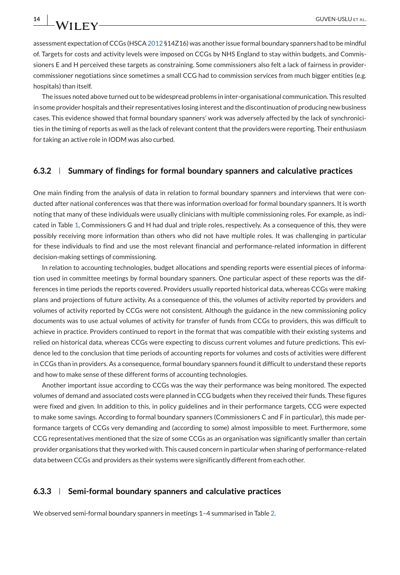assessment expectation of CCGs (HSCA 2012 §14Z16) was another issue formal boundary spanners had to be mindful of. Targets for costs and activity levels were imposed on CCGs by NHS England to stay within budgets, and Commissioners E and H perceived these targets as constraining. Some commissioners also felt a lack of fairness in providercommissioner negotiations since sometimes a small CCG had to commission services from much bigger entities (e.g. hospitals) than itself.

The issues noted above turned out to be widespread problems in inter-organisational communication. This resulted in some provider hospitals and their representatives losing interest and the discontinuation of producing new business cases. This evidence showed that formal boundary spanners' work was adversely affected by the lack of synchronicities in the timing of reports as well as the lack of relevant content that the providers were reporting. Their enthusiasm for taking an active role in IODM was also curbed.

#### **6.3.2 Summary of findings for formal boundary spanners and calculative practices**

One main finding from the analysis of data in relation to formal boundary spanners and interviews that were conducted after national conferences was that there was information overload for formal boundary spanners. It is worth noting that many of these individuals were usually clinicians with multiple commissioning roles. For example, as indicated in Table [1,](#page-7-0) Commissioners G and H had dual and triple roles, respectively. As a consequence of this, they were possibly receiving more information than others who did not have multiple roles. It was challenging in particular for these individuals to find and use the most relevant financial and performance-related information in different decision-making settings of commissioning.

In relation to accounting technologies, budget allocations and spending reports were essential pieces of information used in committee meetings by formal boundary spanners. One particular aspect of these reports was the differences in time periods the reports covered. Providers usually reported historical data, whereas CCGs were making plans and projections of future activity. As a consequence of this, the volumes of activity reported by providers and volumes of activity reported by CCGs were not consistent. Although the guidance in the new commissioning policy documents was to use actual volumes of activity for transfer of funds from CCGs to providers, this was difficult to achieve in practice. Providers continued to report in the format that was compatible with their existing systems and relied on historical data, whereas CCGs were expecting to discuss current volumes and future predictions. This evidence led to the conclusion that time periods of accounting reports for volumes and costs of activities were different in CCGs than in providers. As a consequence, formal boundary spanners found it difficult to understand these reports and how to make sense of these different forms of accounting technologies.

Another important issue according to CCGs was the way their performance was being monitored. The expected volumes of demand and associated costs were planned in CCG budgets when they received their funds. These figures were fixed and given. In addition to this, in policy guidelines and in their performance targets, CCG were expected to make some savings. According to formal boundary spanners (Commissioners C and F in particular), this made performance targets of CCGs very demanding and (according to some) almost impossible to meet. Furthermore, some CCG representatives mentioned that the size of some CCGs as an organisation was significantly smaller than certain provider organisations that they worked with. This caused concern in particular when sharing of performance-related data between CCGs and providers as their systems were significantly different from each other.

#### **6.3.3 Semi-formal boundary spanners and calculative practices**

We observed semi-formal boundary spanners in meetings 1–4 summarised in Table [2.](#page-9-0)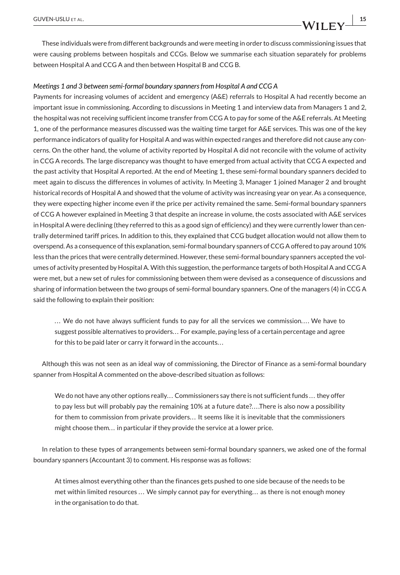These individuals were from different backgrounds and were meeting in order to discuss commissioning issues that were causing problems between hospitals and CCGs. Below we summarise each situation separately for problems between Hospital A and CCG A and then between Hospital B and CCG B.

#### *Meetings 1 and 3 between semi-formal boundary spanners from Hospital A and CCG A*

Payments for increasing volumes of accident and emergency (A&E) referrals to Hospital A had recently become an important issue in commissioning. According to discussions in Meeting 1 and interview data from Managers 1 and 2, the hospital was not receiving sufficient income transfer from CCG A to pay for some of the A&E referrals. At Meeting 1, one of the performance measures discussed was the waiting time target for A&E services. This was one of the key performance indicators of quality for Hospital A and was within expected ranges and therefore did not cause any concerns. On the other hand, the volume of activity reported by Hospital A did not reconcile with the volume of activity in CCG A records. The large discrepancy was thought to have emerged from actual activity that CCG A expected and the past activity that Hospital A reported. At the end of Meeting 1, these semi-formal boundary spanners decided to meet again to discuss the differences in volumes of activity. In Meeting 3, Manager 1 joined Manager 2 and brought historical records of Hospital A and showed that the volume of activity was increasing year on year. As a consequence, they were expecting higher income even if the price per activity remained the same. Semi-formal boundary spanners of CCG A however explained in Meeting 3 that despite an increase in volume, the costs associated with A&E services in Hospital A were declining (they referred to this as a good sign of efficiency) and they were currently lower than centrally determined tariff prices. In addition to this, they explained that CCG budget allocation would not allow them to overspend. As a consequence of this explanation, semi-formal boundary spanners of CCG A offered to pay around 10% less than the prices that were centrally determined. However, these semi-formal boundary spanners accepted the volumes of activity presented by Hospital A. With this suggestion, the performance targets of both Hospital A and CCG A were met, but a new set of rules for commissioning between them were devised as a consequence of discussions and sharing of information between the two groups of semi-formal boundary spanners. One of the managers (4) in CCG A said the following to explain their position:

... We do not have always sufficient funds to pay for all the services we commission.... We have to suggest possible alternatives to providers... For example, paying less of a certain percentage and agree for this to be paid later or carry it forward in the accounts. . .

Although this was not seen as an ideal way of commissioning, the Director of Finance as a semi-formal boundary spanner from Hospital A commented on the above-described situation as follows:

We do not have any other options really... Commissioners say there is not sufficient funds ... they offer to pay less but will probably pay the remaining 10% at a future date?....There is also now a possibility for them to commission from private providers... It seems like it is inevitable that the commissioners might choose them... in particular if they provide the service at a lower price.

In relation to these types of arrangements between semi-formal boundary spanners, we asked one of the formal boundary spanners (Accountant 3) to comment. His response was as follows:

At times almost everything other than the finances gets pushed to one side because of the needs to be met within limited resources ... We simply cannot pay for everything... as there is not enough money in the organisation to do that.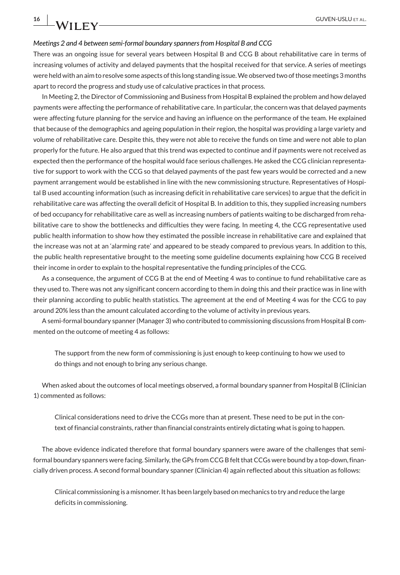#### *Meetings 2 and 4 between semi-formal boundary spanners from Hospital B and CCG*

There was an ongoing issue for several years between Hospital B and CCG B about rehabilitative care in terms of increasing volumes of activity and delayed payments that the hospital received for that service. A series of meetings were held with an aim to resolve some aspects of this long standing issue.We observed two of those meetings 3 months apart to record the progress and study use of calculative practices in that process.

In Meeting 2, the Director of Commissioning and Business from Hospital B explained the problem and how delayed payments were affecting the performance of rehabilitative care. In particular, the concern was that delayed payments were affecting future planning for the service and having an influence on the performance of the team. He explained that because of the demographics and ageing population in their region, the hospital was providing a large variety and volume of rehabilitative care. Despite this, they were not able to receive the funds on time and were not able to plan properly for the future. He also argued that this trend was expected to continue and if payments were not received as expected then the performance of the hospital would face serious challenges. He asked the CCG clinician representative for support to work with the CCG so that delayed payments of the past few years would be corrected and a new payment arrangement would be established in line with the new commissioning structure. Representatives of Hospital B used accounting information (such as increasing deficit in rehabilitative care services) to argue that the deficit in rehabilitative care was affecting the overall deficit of Hospital B. In addition to this, they supplied increasing numbers of bed occupancy for rehabilitative care as well as increasing numbers of patients waiting to be discharged from rehabilitative care to show the bottlenecks and difficulties they were facing. In meeting 4, the CCG representative used public health information to show how they estimated the possible increase in rehabilitative care and explained that the increase was not at an 'alarming rate' and appeared to be steady compared to previous years. In addition to this, the public health representative brought to the meeting some guideline documents explaining how CCG B received their income in order to explain to the hospital representative the funding principles of the CCG.

As a consequence, the argument of CCG B at the end of Meeting 4 was to continue to fund rehabilitative care as they used to. There was not any significant concern according to them in doing this and their practice was in line with their planning according to public health statistics. The agreement at the end of Meeting 4 was for the CCG to pay around 20% less than the amount calculated according to the volume of activity in previous years.

A semi-formal boundary spanner (Manager 3) who contributed to commissioning discussions from Hospital B commented on the outcome of meeting 4 as follows:

The support from the new form of commissioning is just enough to keep continuing to how we used to do things and not enough to bring any serious change.

When asked about the outcomes of local meetings observed, a formal boundary spanner from Hospital B (Clinician 1) commented as follows:

Clinical considerations need to drive the CCGs more than at present. These need to be put in the context of financial constraints, rather than financial constraints entirely dictating what is going to happen.

The above evidence indicated therefore that formal boundary spanners were aware of the challenges that semiformal boundary spanners were facing. Similarly, the GPs from CCG B felt that CCGs were bound by a top-down, financially driven process. A second formal boundary spanner (Clinician 4) again reflected about this situation as follows:

Clinical commissioning is a misnomer. It has been largely based on mechanics to try and reduce the large deficits in commissioning.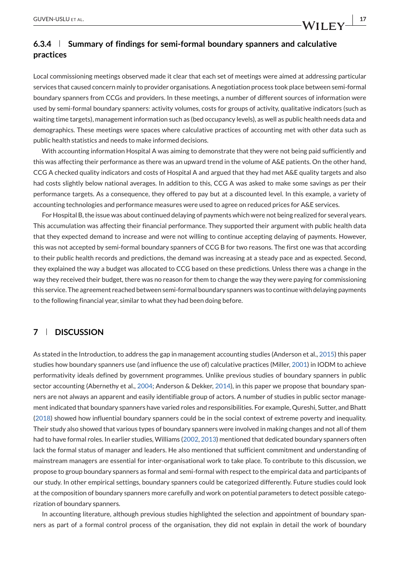# **6.3.4 Summary of findings for semi-formal boundary spanners and calculative practices**

Local commissioning meetings observed made it clear that each set of meetings were aimed at addressing particular services that caused concern mainly to provider organisations. A negotiation process took place between semi-formal boundary spanners from CCGs and providers. In these meetings, a number of different sources of information were used by semi-formal boundary spanners: activity volumes, costs for groups of activity, qualitative indicators (such as waiting time targets), management information such as (bed occupancy levels), as well as public health needs data and demographics. These meetings were spaces where calculative practices of accounting met with other data such as public health statistics and needs to make informed decisions.

With accounting information Hospital A was aiming to demonstrate that they were not being paid sufficiently and this was affecting their performance as there was an upward trend in the volume of A&E patients. On the other hand, CCG A checked quality indicators and costs of Hospital A and argued that they had met A&E quality targets and also had costs slightly below national averages. In addition to this, CCG A was asked to make some savings as per their performance targets. As a consequence, they offered to pay but at a discounted level. In this example, a variety of accounting technologies and performance measures were used to agree on reduced prices for A&E services.

For Hospital B, the issue was about continued delaying of payments which were not being realized for several years. This accumulation was affecting their financial performance. They supported their argument with public health data that they expected demand to increase and were not willing to continue accepting delaying of payments. However, this was not accepted by semi-formal boundary spanners of CCG B for two reasons. The first one was that according to their public health records and predictions, the demand was increasing at a steady pace and as expected. Second, they explained the way a budget was allocated to CCG based on these predictions. Unless there was a change in the way they received their budget, there was no reason for them to change the way they were paying for commissioning this service. The agreement reached between semi-formal boundary spanners was to continue with delaying payments to the following financial year, similar to what they had been doing before.

# **7 DISCUSSION**

As stated in the Introduction, to address the gap in management accounting studies (Anderson et al., 2015) this paper studies how boundary spanners use (and influence the use of) calculative practices (Miller, 2001) in IODM to achieve performativity ideals defined by government programmes. Unlike previous studies of boundary spanners in public sector accounting (Abernethy et al., 2004; Anderson & Dekker, 2014), in this paper we propose that boundary spanners are not always an apparent and easily identifiable group of actors. A number of studies in public sector management indicated that boundary spanners have varied roles and responsibilities. For example, Qureshi, Sutter, and Bhatt (2018) showed how influential boundary spanners could be in the social context of extreme poverty and inequality. Their study also showed that various types of boundary spanners were involved in making changes and not all of them had to have formal roles. In earlier studies, Williams (2002, 2013) mentioned that dedicated boundary spanners often lack the formal status of manager and leaders. He also mentioned that sufficient commitment and understanding of mainstream managers are essential for inter-organisational work to take place. To contribute to this discussion, we propose to group boundary spanners as formal and semi-formal with respect to the empirical data and participants of our study. In other empirical settings, boundary spanners could be categorized differently. Future studies could look at the composition of boundary spanners more carefully and work on potential parameters to detect possible categorization of boundary spanners.

In accounting literature, although previous studies highlighted the selection and appointment of boundary spanners as part of a formal control process of the organisation, they did not explain in detail the work of boundary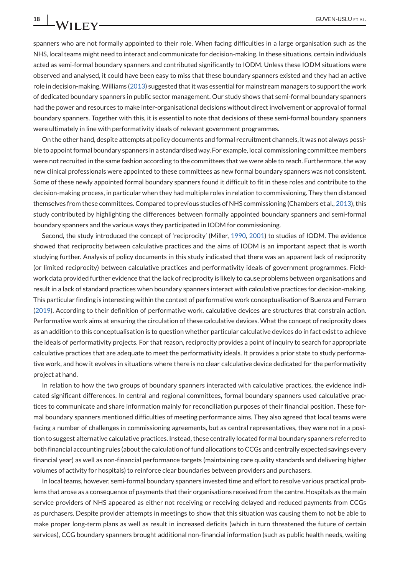spanners who are not formally appointed to their role. When facing difficulties in a large organisation such as the NHS, local teams might need to interact and communicate for decision-making. In these situations, certain individuals acted as semi-formal boundary spanners and contributed significantly to IODM. Unless these IODM situations were observed and analysed, it could have been easy to miss that these boundary spanners existed and they had an active role in decision-making. Williams (2013) suggested that it was essential for mainstream managers to support the work of dedicated boundary spanners in public sector management. Our study shows that semi-formal boundary spanners had the power and resources to make inter-organisational decisions without direct involvement or approval of formal boundary spanners. Together with this, it is essential to note that decisions of these semi-formal boundary spanners were ultimately in line with performativity ideals of relevant government programmes.

On the other hand, despite attempts at policy documents and formal recruitment channels, it was not always possible to appoint formal boundary spanners in a standardised way. For example, local commissioning committee members were not recruited in the same fashion according to the committees that we were able to reach. Furthermore, the way new clinical professionals were appointed to these committees as new formal boundary spanners was not consistent. Some of these newly appointed formal boundary spanners found it difficult to fit in these roles and contribute to the decision-making process, in particular when they had multiple roles in relation to commissioning. They then distanced themselves from these committees. Compared to previous studies of NHS commissioning (Chambers et al., 2013), this study contributed by highlighting the differences between formally appointed boundary spanners and semi-formal boundary spanners and the various ways they participated in IODM for commissioning.

Second, the study introduced the concept of 'reciprocity' (Miller, 1990, 2001) to studies of IODM. The evidence showed that reciprocity between calculative practices and the aims of IODM is an important aspect that is worth studying further. Analysis of policy documents in this study indicated that there was an apparent lack of reciprocity (or limited reciprocity) between calculative practices and performativity ideals of government programmes. Fieldwork data provided further evidence that the lack of reciprocity is likely to cause problems between organisations and result in a lack of standard practices when boundary spanners interact with calculative practices for decision-making. This particular finding is interesting within the context of performative work conceptualisation of Buenza and Ferraro (2019). According to their definition of performative work, calculative devices are structures that constrain action. Performative work aims at ensuring the circulation of these calculative devices. What the concept of reciprocity does as an addition to this conceptualisation is to question whether particular calculative devices do in fact exist to achieve the ideals of performativity projects. For that reason, reciprocity provides a point of inquiry to search for appropriate calculative practices that are adequate to meet the performativity ideals. It provides a prior state to study performative work, and how it evolves in situations where there is no clear calculative device dedicated for the performativity project at hand.

In relation to how the two groups of boundary spanners interacted with calculative practices, the evidence indicated significant differences. In central and regional committees, formal boundary spanners used calculative practices to communicate and share information mainly for reconciliation purposes of their financial position. These formal boundary spanners mentioned difficulties of meeting performance aims. They also agreed that local teams were facing a number of challenges in commissioning agreements, but as central representatives, they were not in a position to suggest alternative calculative practices. Instead, these centrally located formal boundary spanners referred to both financial accounting rules (about the calculation of fund allocations to CCGs and centrally expected savings every financial year) as well as non-financial performance targets (maintaining care quality standards and delivering higher volumes of activity for hospitals) to reinforce clear boundaries between providers and purchasers.

In local teams, however, semi-formal boundary spanners invested time and effort to resolve various practical problems that arose as a consequence of payments that their organisations received from the centre. Hospitals as the main service providers of NHS appeared as either not receiving or receiving delayed and reduced payments from CCGs as purchasers. Despite provider attempts in meetings to show that this situation was causing them to not be able to make proper long-term plans as well as result in increased deficits (which in turn threatened the future of certain services), CCG boundary spanners brought additional non-financial information (such as public health needs, waiting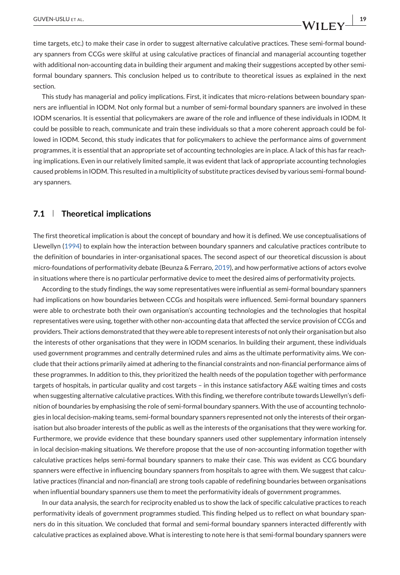time targets, etc.) to make their case in order to suggest alternative calculative practices. These semi-formal boundary spanners from CCGs were skilful at using calculative practices of financial and managerial accounting together with additional non-accounting data in building their argument and making their suggestions accepted by other semiformal boundary spanners. This conclusion helped us to contribute to theoretical issues as explained in the next section.

This study has managerial and policy implications. First, it indicates that micro-relations between boundary spanners are influential in IODM. Not only formal but a number of semi-formal boundary spanners are involved in these IODM scenarios. It is essential that policymakers are aware of the role and influence of these individuals in IODM. It could be possible to reach, communicate and train these individuals so that a more coherent approach could be followed in IODM. Second, this study indicates that for policymakers to achieve the performance aims of government programmes, it is essential that an appropriate set of accounting technologies are in place. A lack of this has far reaching implications. Even in our relatively limited sample, it was evident that lack of appropriate accounting technologies caused problems in IODM. This resulted in a multiplicity of substitute practices devised by various semi-formal boundary spanners.

### **7.1 Theoretical implications**

The first theoretical implication is about the concept of boundary and how it is defined. We use conceptualisations of Llewellyn (1994) to explain how the interaction between boundary spanners and calculative practices contribute to the definition of boundaries in inter-organisational spaces. The second aspect of our theoretical discussion is about micro-foundations of performativity debate (Beunza & Ferraro, 2019), and how performative actions of actors evolve in situations where there is no particular performative device to meet the desired aims of performativity projects.

According to the study findings, the way some representatives were influential as semi-formal boundary spanners had implications on how boundaries between CCGs and hospitals were influenced. Semi-formal boundary spanners were able to orchestrate both their own organisation's accounting technologies and the technologies that hospital representatives were using, together with other non-accounting data that affected the service provision of CCGs and providers. Their actions demonstrated that they were able to represent interests of not only their organisation but also the interests of other organisations that they were in IODM scenarios. In building their argument, these individuals used government programmes and centrally determined rules and aims as the ultimate performativity aims. We conclude that their actions primarily aimed at adhering to the financial constraints and non-financial performance aims of these programmes. In addition to this, they prioritized the health needs of the population together with performance targets of hospitals, in particular quality and cost targets – in this instance satisfactory A&E waiting times and costs when suggesting alternative calculative practices. With this finding, we therefore contribute towards Llewellyn's definition of boundaries by emphasising the role of semi-formal boundary spanners. With the use of accounting technologies in local decision-making teams, semi-formal boundary spanners represented not only the interests of their organisation but also broader interests of the public as well as the interests of the organisations that they were working for. Furthermore, we provide evidence that these boundary spanners used other supplementary information intensely in local decision-making situations. We therefore propose that the use of non-accounting information together with calculative practices helps semi-formal boundary spanners to make their case. This was evident as CCG boundary spanners were effective in influencing boundary spanners from hospitals to agree with them. We suggest that calculative practices (financial and non-financial) are strong tools capable of redefining boundaries between organisations when influential boundary spanners use them to meet the performativity ideals of government programmes.

In our data analysis, the search for reciprocity enabled us to show the lack of specific calculative practices to reach performativity ideals of government programmes studied. This finding helped us to reflect on what boundary spanners do in this situation. We concluded that formal and semi-formal boundary spanners interacted differently with calculative practices as explained above. What is interesting to note here is that semi-formal boundary spanners were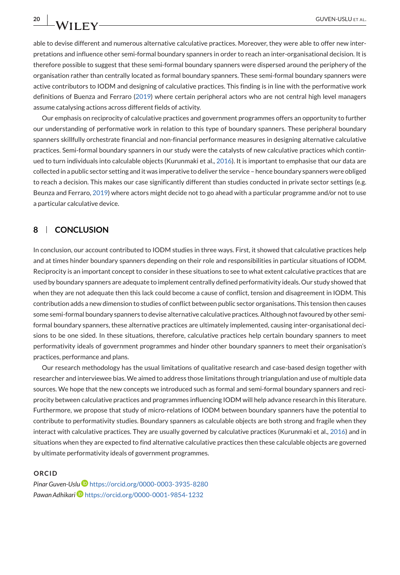able to devise different and numerous alternative calculative practices. Moreover, they were able to offer new interpretations and influence other semi-formal boundary spanners in order to reach an inter-organisational decision. It is therefore possible to suggest that these semi-formal boundary spanners were dispersed around the periphery of the organisation rather than centrally located as formal boundary spanners. These semi-formal boundary spanners were active contributors to IODM and designing of calculative practices. This finding is in line with the performative work definitions of Buenza and Ferraro (2019) where certain peripheral actors who are not central high level managers assume catalysing actions across different fields of activity.

Our emphasis on reciprocity of calculative practices and government programmes offers an opportunity to further our understanding of performative work in relation to this type of boundary spanners. These peripheral boundary spanners skillfully orchestrate financial and non-financial performance measures in designing alternative calculative practices. Semi-formal boundary spanners in our study were the catalysts of new calculative practices which continued to turn individuals into calculable objects (Kurunmaki et al., 2016). It is important to emphasise that our data are collected in a public sector setting and it was imperative to deliver the service – hence boundary spanners were obliged to reach a decision. This makes our case significantly different than studies conducted in private sector settings (e.g. Beunza and Ferraro, 2019) where actors might decide not to go ahead with a particular programme and/or not to use a particular calculative device.

## **8 CONCLUSION**

In conclusion, our account contributed to IODM studies in three ways. First, it showed that calculative practices help and at times hinder boundary spanners depending on their role and responsibilities in particular situations of IODM. Reciprocity is an important concept to consider in these situations to see to what extent calculative practices that are used by boundary spanners are adequate to implement centrally defined performativity ideals. Our study showed that when they are not adequate then this lack could become a cause of conflict, tension and disagreement in IODM. This contribution adds a new dimension to studies of conflict between public sector organisations. This tension then causes some semi-formal boundary spanners to devise alternative calculative practices. Although not favoured by other semiformal boundary spanners, these alternative practices are ultimately implemented, causing inter-organisational decisions to be one sided. In these situations, therefore, calculative practices help certain boundary spanners to meet performativity ideals of government programmes and hinder other boundary spanners to meet their organisation's practices, performance and plans.

Our research methodology has the usual limitations of qualitative research and case-based design together with researcher and interviewee bias.We aimed to address those limitations through triangulation and use of multiple data sources. We hope that the new concepts we introduced such as formal and semi-formal boundary spanners and reciprocity between calculative practices and programmes influencing IODM will help advance research in this literature. Furthermore, we propose that study of micro-relations of IODM between boundary spanners have the potential to contribute to performativity studies. Boundary spanners as calculable objects are both strong and fragile when they interact with calculative practices. They are usually governed by calculative practices (Kurunmaki et al., 2016) and in situations when they are expected to find alternative calculative practices then these calculable objects are governed by ultimate performativity ideals of government programmes.

#### **ORCID**

*Pinar Guven-Usl[u](https://orcid.org/0000-0003-3935-8280)* <https://orcid.org/0000-0003-3935-8280> *Pawan Adhikari* <https://orcid.org/0000-0001-9854-1232>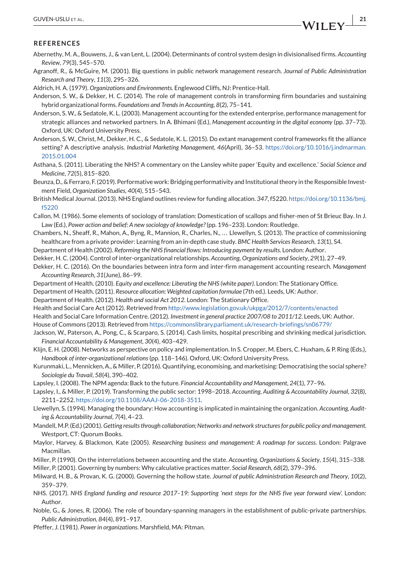#### **REFERENCES**

- Abernethy, M. A., Bouwens, J., & van Lent, L. (2004). Determinants of control system design in divisionalised firms. *Accounting Review*, *79*(3), 545–570.
- Agranoff, R., & McGuire, M. (2001). Big questions in public network management research. *Journal of Public Administration Research and Theory*, *11*(3), 295–326.
- Aldrich, H. A. (1979). *Organizations and Environments*. Englewood Cliffs, NJ: Prentice-Hall.
- Anderson, S. W., & Dekker, H. C. (2014). The role of management controls in transforming firm boundaries and sustaining hybrid organizational forms. *Foundations and Trends in Accounting*, *8*(2), 75–141.
- Anderson, S. W., & Sedatole, K. L. (2003). Management accounting for the extended enterprise, performance management for strategic alliances and networked partners. In A. Bhimani (Ed.), *Management accounting in the digital economy* (pp. 37–73). Oxford, UK: Oxford University Press.
- Anderson, S. W., Christ, M., Dekker, H. C., & Sedatole, K. L. (2015). Do extant management control frameworks fit the alliance setting? A descriptive analysis. *Industrial Marketing Management*, *46*(April), 36–53. [https://doi.org/10.1016/j.indmarman.](https://doi.org/10.1016/j.indmarman.2015.01.004) [2015.01.004](https://doi.org/10.1016/j.indmarman.2015.01.004)
- Asthana, S. (2011). Liberating the NHS? A commentary on the Lansley white paper 'Equity and excellence.' *Social Science and Medicine*, *72*(5), 815–820.
- Beunza, D., & Ferraro, F. (2019). Performative work: Bridging performativity and Institutional theory in the Responsible Investment Field, *Organization Studies*, *40*(4), 515–543.
- British Medical Journal. (2013). NHS England outlines review for funding allocation. *347*, f5220. [https://doi.org/10.1136/bmj.](https://doi.org/10.1136/bmj.f5220) [f5220](https://doi.org/10.1136/bmj.f5220)
- Callon, M. (1986). Some elements of sociology of translation: Domestication of scallops and fisher-men of St Brieuc Bay. In J. Law (Ed.), *Power action and belief: A new sociology of knowledge?*(pp. 196–233). London: Routledge.
- Chambers, N., Sheaff, R., Mahon, A., Byng, R., Mannion, R., Charles, N., . . . Llewellyn, S. (2013). The practice of commissioning healthcare from a private provider: Learning from an in-depth case study. *BMC Health Services Research*, *13*(1), S4.
- Department of Health (2002). *Reforming the NHS financial flows: Introducing payment by results*. London: Author.
- Dekker, H. C. (2004). Control of inter-organizational relationships. *Accounting, Organizations and Society*, *29*(1), 27–49.
- Dekker, H. C. (2016). On the boundaries between intra form and inter-firm management accounting research. *Management Accounting Research*, *31*(June), 86–99.
- Department of Health. (2010). *Equity and excellence: Liberating the NHS (white paper)*. London: The Stationary Office.
- Department of Health. (2011). *Resource allocation: Weighted capitation formulae* (7th ed.). Leeds, UK: Author.
- Department of Health. (2012). *Health and social Act 2012*. London: The Stationary Office.
- Health and Social Care Act (2012). Retrieved from <http://www.legislation.gov.uk/ukpga/2012/7/contents/enacted>
- Health and Social Care Information Centre. (2012). *Investment in general practice 2007/08 to 2011/12*. Leeds, UK: Author.

House of Commons (2013). Retrieved from <https://commonslibrary.parliament.uk/research-briefings/sn06779/>

- Jackson, W., Paterson, A., Pong, C., & Scarparo, S. (2014). Cash limits, hospital prescribing and shrinking medical jurisdiction. *Financial Accountability & Management*, *30*(4), 403–429.
- Klijn, E. H. (2008). Networks as perspective on policy and implementation. In S. Cropper, M. Ebers, C. Huxham, & P. Ring (Eds.), *Handbook of inter-organizational relations*(pp. 118–146). Oxford, UK: Oxford University Press.
- Kurunmaki, L., Mennicken, A., & Miller, P. (2016). Quantifying, economising, and marketising: Democratising the social sphere? *Sociologie du Travail*, *58*(4), 390–402.
- Lapsley, I. (2008). The NPM agenda: Back to the future. *Financial Accountability and Management*, *24*(1), 77–96.
- Lapsley, I., & Miller, P. (2019). Transforming the public sector: 1998–2018. *Accounting, Auditing & Accountability Journal*, *32*(8), 2211–2252. [https://doi.org/10.1108/AAAJ-06-2018-3511.](https://doi.org/10.1108/AAAJ-06-2018-3511)
- Llewellyn, S. (1994). Managing the boundary: How accounting is implicated in maintaining the organization. *Accounting, Auditing & Accountability Journal*, *7*(4), 4–23.
- Mandell, M.P. (Ed.) (2001).*Getting results through collaboration; Networks and network structures for public policy and management*. Westport, CT: Quorum Books.
- Maylor, Harvey, & Blackmon, Kate (2005). *Researching business and management: A roadmap for success*. London: Palgrave Macmillan.
- Miller, P. (1990). On the interrelations between accounting and the state. *Accounting, Organizations & Society*, *15*(4), 315–338.
- Miller, P. (2001). Governing by numbers: Why calculative practices matter. *Social Research*, *68*(2), 379–396.
- Milward, H. B., & Provan, K. G. (2000). Governing the hollow state. *Journal of public Administration Research and Theory*, *10*(2), 359–379.
- NHS. (2017). *NHS England funding and resource 2017–19: Supporting 'next steps for the NHS five year forward view*'. London: Author.
- Noble, G., & Jones, R. (2006). The role of boundary-spanning managers in the establishment of public-private partnerships. *Public Administration*, *84*(4), 891–917.
- Pfeffer, J. (1981). *Power in organizations*. Marshfield, MA: Pitman.